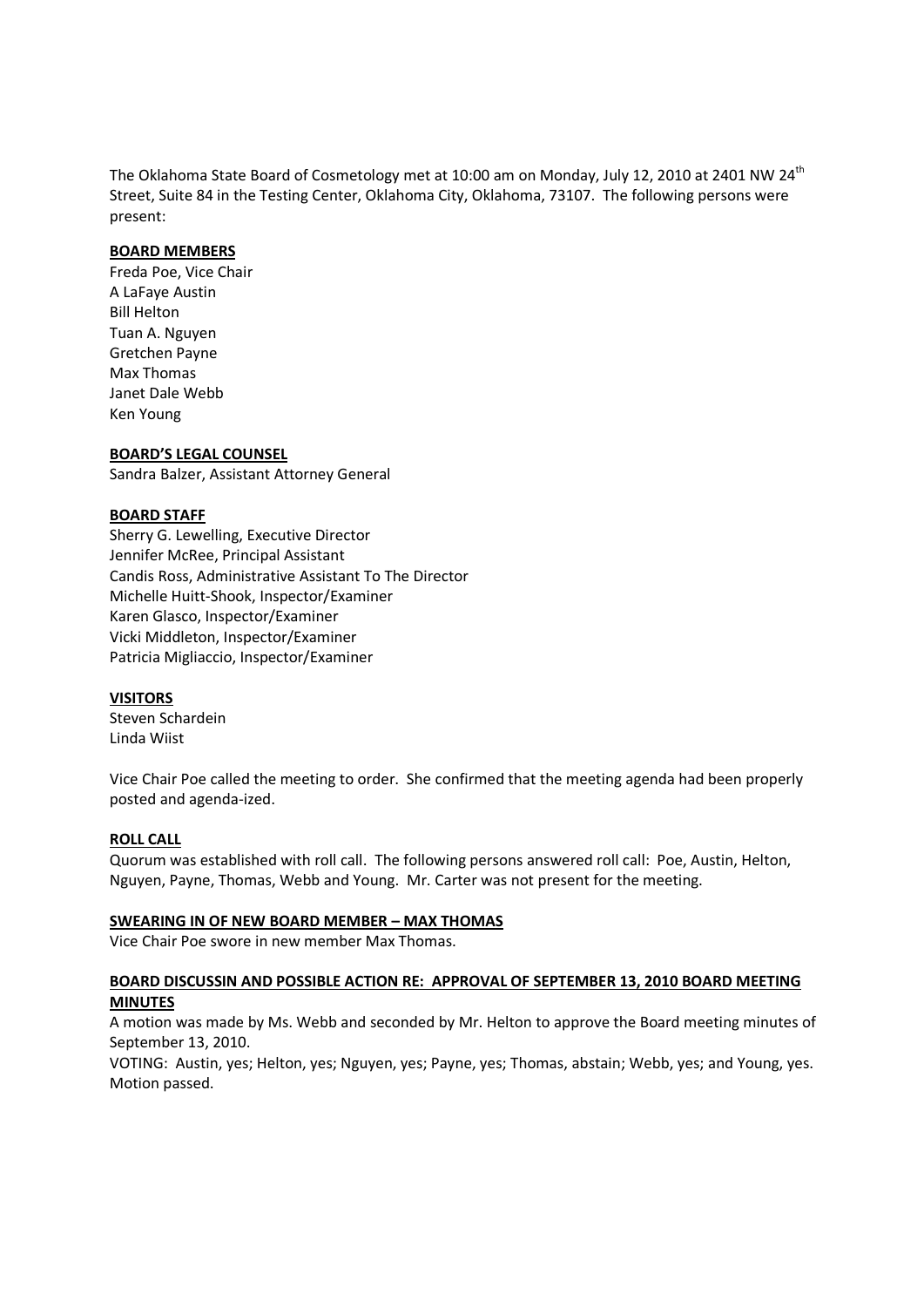The Oklahoma State Board of Cosmetology met at 10:00 am on Monday, July 12, 2010 at 2401 NW 24<sup>th</sup> Street, Suite 84 in the Testing Center, Oklahoma City, Oklahoma, 73107. The following persons were present:

## **BOARD MEMBERS**

Freda Poe, Vice Chair A LaFaye Austin Bill Helton Tuan A. Nguyen Gretchen Payne Max Thomas Janet Dale Webb Ken Young

### **BOARD'S LEGAL COUNSEL**

Sandra Balzer, Assistant Attorney General

### **BOARD STAFF**

Sherry G. Lewelling, Executive Director Jennifer McRee, Principal Assistant Candis Ross, Administrative Assistant To The Director Michelle Huitt-Shook, Inspector/Examiner Karen Glasco, Inspector/Examiner Vicki Middleton, Inspector/Examiner Patricia Migliaccio, Inspector/Examiner

#### **VISITORS**

Steven Schardein Linda Wiist

Vice Chair Poe called the meeting to order. She confirmed that the meeting agenda had been properly posted and agenda-ized.

#### **ROLL CALL**

Quorum was established with roll call. The following persons answered roll call: Poe, Austin, Helton, Nguyen, Payne, Thomas, Webb and Young. Mr. Carter was not present for the meeting.

#### **SWEARING IN OF NEW BOARD MEMBER – MAX THOMAS**

Vice Chair Poe swore in new member Max Thomas.

## **BOARD DISCUSSIN AND POSSIBLE ACTION RE: APPROVAL OF SEPTEMBER 13, 2010 BOARD MEETING MINUTES**

A motion was made by Ms. Webb and seconded by Mr. Helton to approve the Board meeting minutes of September 13, 2010.

VOTING: Austin, yes; Helton, yes; Nguyen, yes; Payne, yes; Thomas, abstain; Webb, yes; and Young, yes. Motion passed.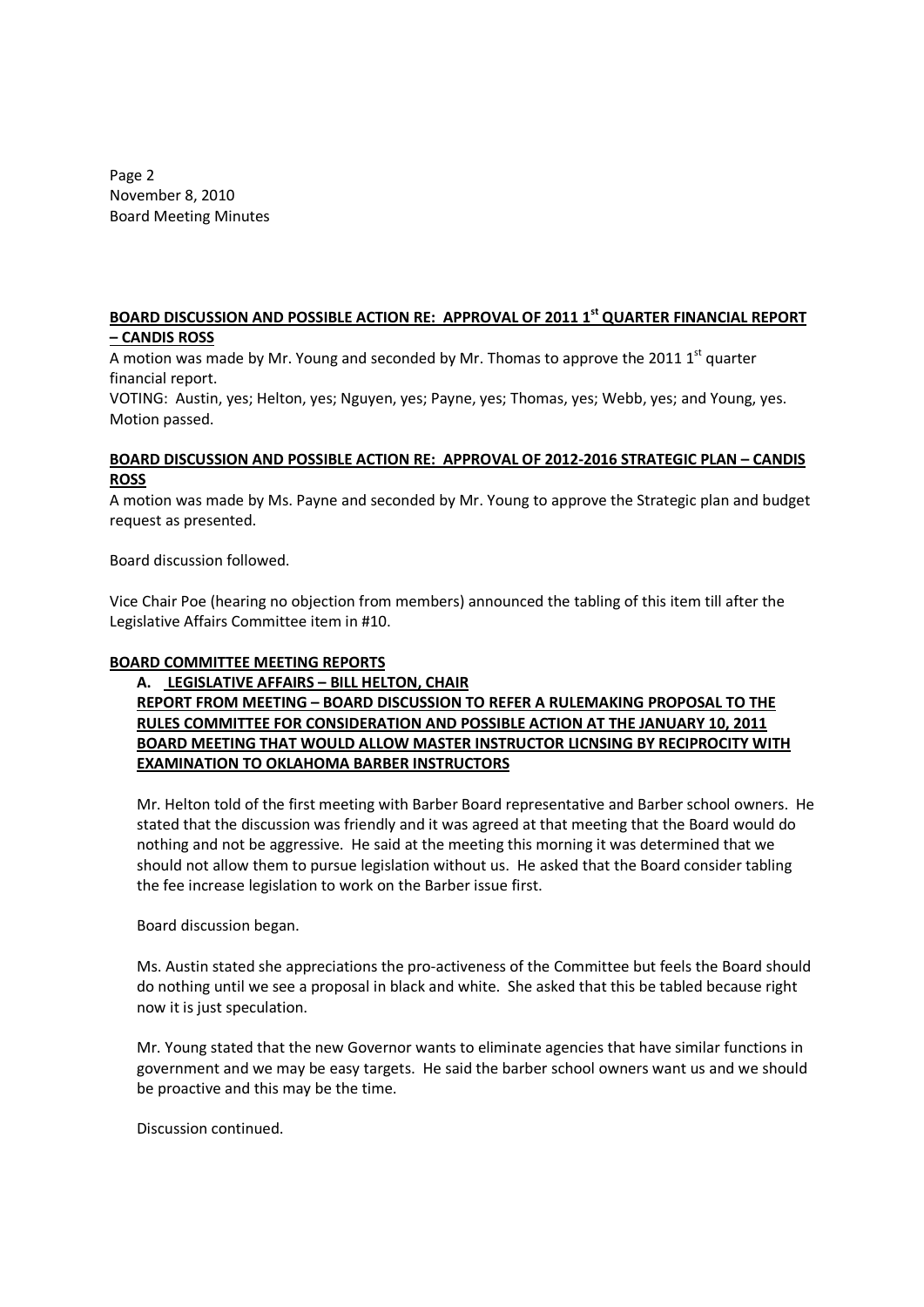Page 2 November 8, 2010 Board Meeting Minutes

## **BOARD DISCUSSION AND POSSIBLE ACTION RE: APPROVAL OF 2011 1st QUARTER FINANCIAL REPORT – CANDIS ROSS**

A motion was made by Mr. Young and seconded by Mr. Thomas to approve the 2011  $1^{st}$  quarter financial report.

VOTING: Austin, yes; Helton, yes; Nguyen, yes; Payne, yes; Thomas, yes; Webb, yes; and Young, yes. Motion passed.

## **BOARD DISCUSSION AND POSSIBLE ACTION RE: APPROVAL OF 2012-2016 STRATEGIC PLAN – CANDIS ROSS**

A motion was made by Ms. Payne and seconded by Mr. Young to approve the Strategic plan and budget request as presented.

Board discussion followed.

Vice Chair Poe (hearing no objection from members) announced the tabling of this item till after the Legislative Affairs Committee item in #10.

# **BOARD COMMITTEE MEETING REPORTS**

# **A. LEGISLATIVE AFFAIRS – BILL HELTON, CHAIR REPORT FROM MEETING – BOARD DISCUSSION TO REFER A RULEMAKING PROPOSAL TO THE RULES COMMITTEE FOR CONSIDERATION AND POSSIBLE ACTION AT THE JANUARY 10, 2011 BOARD MEETING THAT WOULD ALLOW MASTER INSTRUCTOR LICNSING BY RECIPROCITY WITH EXAMINATION TO OKLAHOMA BARBER INSTRUCTORS**

Mr. Helton told of the first meeting with Barber Board representative and Barber school owners. He stated that the discussion was friendly and it was agreed at that meeting that the Board would do nothing and not be aggressive. He said at the meeting this morning it was determined that we should not allow them to pursue legislation without us. He asked that the Board consider tabling the fee increase legislation to work on the Barber issue first.

Board discussion began.

Ms. Austin stated she appreciations the pro-activeness of the Committee but feels the Board should do nothing until we see a proposal in black and white. She asked that this be tabled because right now it is just speculation.

Mr. Young stated that the new Governor wants to eliminate agencies that have similar functions in government and we may be easy targets. He said the barber school owners want us and we should be proactive and this may be the time.

Discussion continued.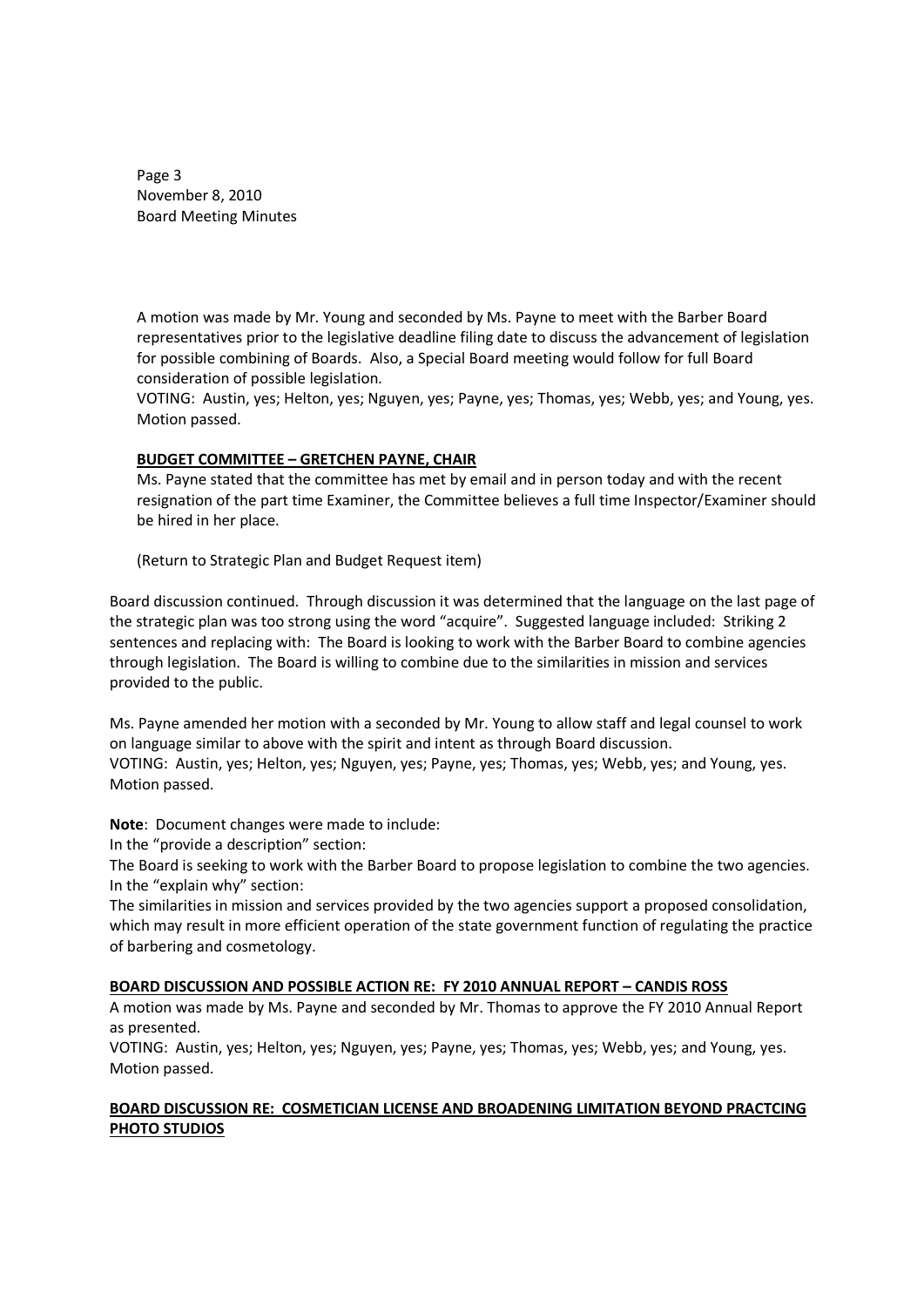Page 3 November 8, 2010 Board Meeting Minutes

A motion was made by Mr. Young and seconded by Ms. Payne to meet with the Barber Board representatives prior to the legislative deadline filing date to discuss the advancement of legislation for possible combining of Boards. Also, a Special Board meeting would follow for full Board consideration of possible legislation.

VOTING: Austin, yes; Helton, yes; Nguyen, yes; Payne, yes; Thomas, yes; Webb, yes; and Young, yes. Motion passed.

## **BUDGET COMMITTEE – GRETCHEN PAYNE, CHAIR**

Ms. Payne stated that the committee has met by email and in person today and with the recent resignation of the part time Examiner, the Committee believes a full time Inspector/Examiner should be hired in her place.

(Return to Strategic Plan and Budget Request item)

Board discussion continued. Through discussion it was determined that the language on the last page of the strategic plan was too strong using the word "acquire". Suggested language included: Striking 2 sentences and replacing with: The Board is looking to work with the Barber Board to combine agencies through legislation. The Board is willing to combine due to the similarities in mission and services provided to the public.

Ms. Payne amended her motion with a seconded by Mr. Young to allow staff and legal counsel to work on language similar to above with the spirit and intent as through Board discussion. VOTING: Austin, yes; Helton, yes; Nguyen, yes; Payne, yes; Thomas, yes; Webb, yes; and Young, yes. Motion passed.

**Note**: Document changes were made to include:

In the "provide a description" section:

The Board is seeking to work with the Barber Board to propose legislation to combine the two agencies. In the "explain why" section:

The similarities in mission and services provided by the two agencies support a proposed consolidation, which may result in more efficient operation of the state government function of regulating the practice of barbering and cosmetology.

## **BOARD DISCUSSION AND POSSIBLE ACTION RE: FY 2010 ANNUAL REPORT – CANDIS ROSS**

A motion was made by Ms. Payne and seconded by Mr. Thomas to approve the FY 2010 Annual Report as presented.

VOTING: Austin, yes; Helton, yes; Nguyen, yes; Payne, yes; Thomas, yes; Webb, yes; and Young, yes. Motion passed.

## **BOARD DISCUSSION RE: COSMETICIAN LICENSE AND BROADENING LIMITATION BEYOND PRACTCING PHOTO STUDIOS**